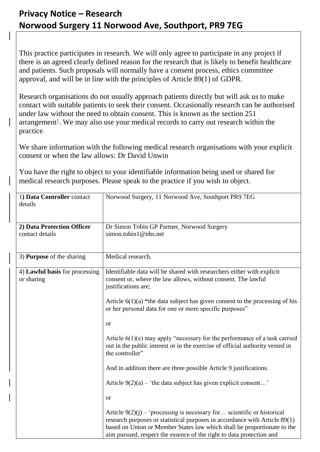## **Privacy Notice – Research Norwood Surgery 11 Norwood Ave, Southport, PR9 7EG**

This practice participates in research. We will only agree to participate in any project if there is an agreed clearly defined reason for the research that is likely to benefit healthcare and patients. Such proposals will normally have a consent process, ethics committee approval, and will be in line with the principles of Article 89(1) of GDPR.

Research organisations do not usually approach patients directly but will ask us to make contact with suitable patients to seek their consent. Occasionally research can be authorised under law without the need to obtain consent. This is known as the section 251 arrangement<sup>[1](#page-1-0)</sup>. We may also use your medical records to carry out research within the practice.

We share information with the following medical research organisations with your explicit consent or when the law allows: Dr David Unwin

You have the right to object to your identifiable information being used or shared for medical research purposes. Please speak to the practice if you wish to object.

| 1) Data Controller contact<br>details        | Norwood Surgery, 11 Norwood Ave, Southport PR9 7EG                                                                                                                                                                                                                                                         |
|----------------------------------------------|------------------------------------------------------------------------------------------------------------------------------------------------------------------------------------------------------------------------------------------------------------------------------------------------------------|
| 2) Data Protection Officer                   | Dr Simon Tobin GP Partner, Norwood Surgery                                                                                                                                                                                                                                                                 |
| contact details                              | simon.tobin1@nhs.net                                                                                                                                                                                                                                                                                       |
| 3) <b>Purpose</b> of the sharing             | Medical research.                                                                                                                                                                                                                                                                                          |
| 4) Lawful basis for processing<br>or sharing | Identifiable data will be shared with researchers either with explicit<br>consent or, where the law allows, without consent. The lawful<br>justifications are;                                                                                                                                             |
|                                              | Article $6(1)(a)$ "the data subject has given consent to the processing of his<br>or her personal data for one or more specific purposes"                                                                                                                                                                  |
|                                              | <b>or</b>                                                                                                                                                                                                                                                                                                  |
|                                              | Article $6(1)(e)$ may apply "necessary for the performance of a task carried<br>out in the public interest or in the exercise of official authority vested in<br>the controller"                                                                                                                           |
|                                              | And in addition there are three possible Article 9 justifications.                                                                                                                                                                                                                                         |
|                                              | Article $9(2)(a)$ – 'the data subject has given explicit consent'                                                                                                                                                                                                                                          |
|                                              | <b>or</b>                                                                                                                                                                                                                                                                                                  |
|                                              | Article $9(2)(i)$ – 'processing is necessary for scientific or historical<br>research purposes or statistical purposes in accordance with Article 89(1)<br>based on Union or Member States law which shall be proportionate to the<br>aim pursued, respect the essence of the right to data protection and |